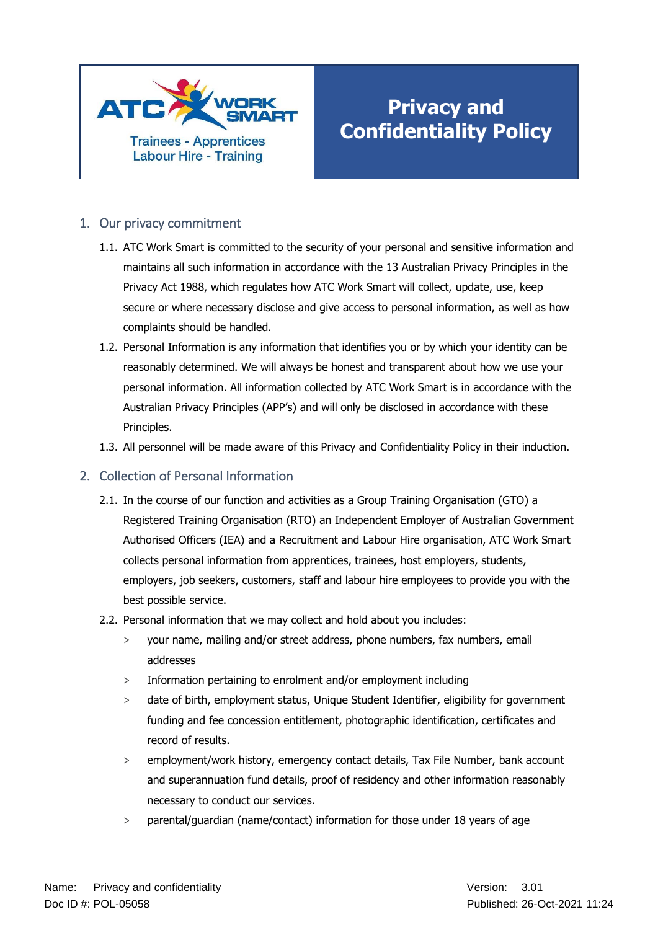

# **Privacy and Confidentiality Policy**

## 1. Our privacy commitment

- 1.1. ATC Work Smart is committed to the security of your personal and sensitive information and maintains all such information in accordance with the 13 Australian Privacy Principles in the Privacy Act 1988, which regulates how ATC Work Smart will collect, update, use, keep secure or where necessary disclose and give access to personal information, as well as how complaints should be handled.
- 1.2. Personal Information is any information that identifies you or by which your identity can be reasonably determined. We will always be honest and transparent about how we use your personal information. All information collected by ATC Work Smart is in accordance with the Australian Privacy Principles (APP's) and will only be disclosed in accordance with these Principles.
- 1.3. All personnel will be made aware of this Privacy and Confidentiality Policy in their induction.

### 2. Collection of Personal Information

- 2.1. In the course of our function and activities as a Group Training Organisation (GTO) a Registered Training Organisation (RTO) an Independent Employer of Australian Government Authorised Officers (IEA) and a Recruitment and Labour Hire organisation, ATC Work Smart collects personal information from apprentices, trainees, host employers, students, employers, job seekers, customers, staff and labour hire employees to provide you with the best possible service.
- 2.2. Personal information that we may collect and hold about you includes:
	- > your name, mailing and/or street address, phone numbers, fax numbers, email addresses
	- > Information pertaining to enrolment and/or employment including
	- > date of birth, employment status, Unique Student Identifier, eligibility for government funding and fee concession entitlement, photographic identification, certificates and record of results.
	- employment/work history, emergency contact details, Tax File Number, bank account and superannuation fund details, proof of residency and other information reasonably necessary to conduct our services.
	- > parental/guardian (name/contact) information for those under 18 years of age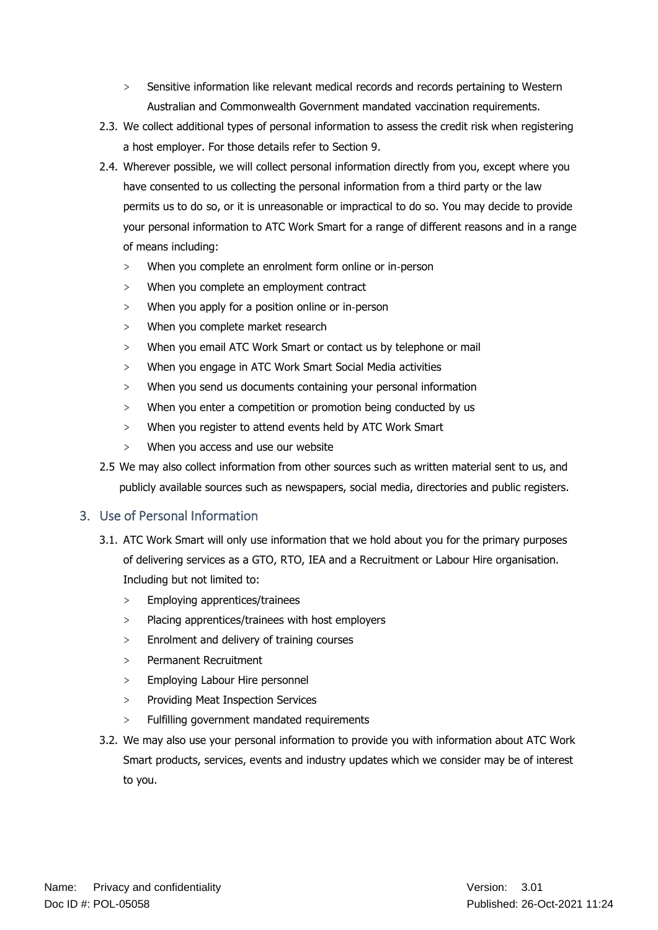- Sensitive information like relevant medical records and records pertaining to Western Australian and Commonwealth Government mandated vaccination requirements.
- 2.3. We collect additional types of personal information to assess the credit risk when registering a host employer. For those details refer to Section 9.
- 2.4. Wherever possible, we will collect personal information directly from you, except where you have consented to us collecting the personal information from a third party or the law permits us to do so, or it is unreasonable or impractical to do so. You may decide to provide your personal information to ATC Work Smart for a range of different reasons and in a range of means including:
	- > When you complete an enrolment form online or in‐person
	- > When you complete an employment contract
	- > When you apply for a position online or in‐person
	- > When you complete market research
	- When you email ATC Work Smart or contact us by telephone or mail
	- > When you engage in ATC Work Smart Social Media activities
	- > When you send us documents containing your personal information
	- > When you enter a competition or promotion being conducted by us
	- > When you register to attend events held by ATC Work Smart
	- > When you access and use our website
- 2.5 We may also collect information from other sources such as written material sent to us, and publicly available sources such as newspapers, social media, directories and public registers.

### 3. Use of Personal Information

- 3.1. ATC Work Smart will only use information that we hold about you for the primary purposes of delivering services as a GTO, RTO, IEA and a Recruitment or Labour Hire organisation. Including but not limited to:
	- > Employing apprentices/trainees
	- > Placing apprentices/trainees with host employers
	- > Enrolment and delivery of training courses
	- > Permanent Recruitment
	- > Employing Labour Hire personnel
	- > Providing Meat Inspection Services
	- Fulfilling government mandated requirements
- 3.2. We may also use your personal information to provide you with information about ATC Work Smart products, services, events and industry updates which we consider may be of interest to you.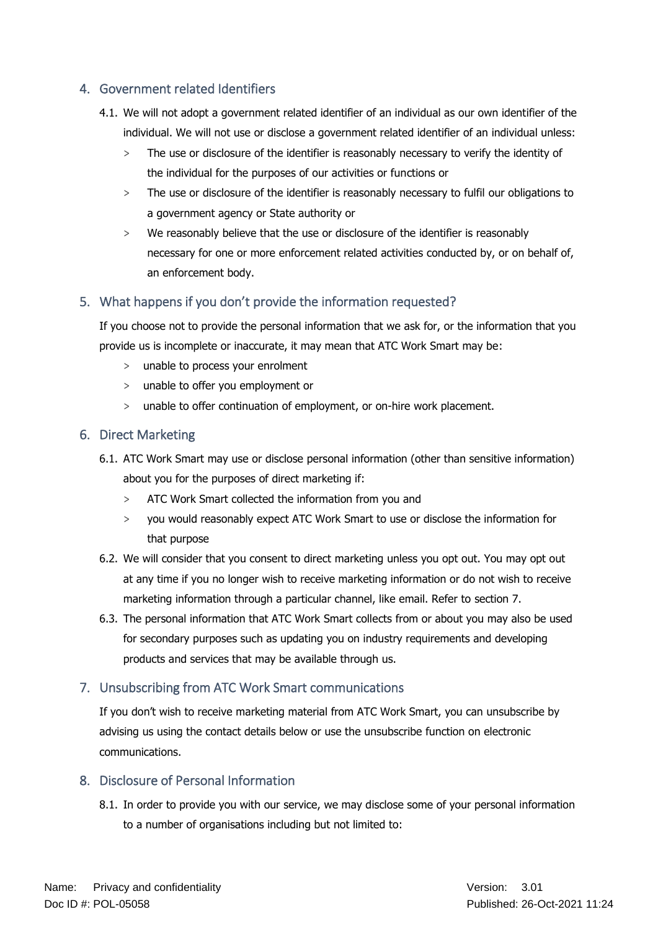## 4. Government related Identifiers

- 4.1. We will not adopt a government related identifier of an individual as our own identifier of the individual. We will not use or disclose a government related identifier of an individual unless:
	- > The use or disclosure of the identifier is reasonably necessary to verify the identity of the individual for the purposes of our activities or functions or
	- > The use or disclosure of the identifier is reasonably necessary to fulfil our obligations to a government agency or State authority or
	- > We reasonably believe that the use or disclosure of the identifier is reasonably necessary for one or more enforcement related activities conducted by, or on behalf of, an enforcement body.

## 5. What happens if you don't provide the information requested?

If you choose not to provide the personal information that we ask for, or the information that you provide us is incomplete or inaccurate, it may mean that ATC Work Smart may be:

- > unable to process your enrolment
- > unable to offer you employment or
- > unable to offer continuation of employment, or on-hire work placement.

#### 6. Direct Marketing

- 6.1. ATC Work Smart may use or disclose personal information (other than sensitive information) about you for the purposes of direct marketing if:
	- > ATC Work Smart collected the information from you and
	- > you would reasonably expect ATC Work Smart to use or disclose the information for that purpose
- 6.2. We will consider that you consent to direct marketing unless you opt out. You may opt out at any time if you no longer wish to receive marketing information or do not wish to receive marketing information through a particular channel, like email. Refer to section 7.
- 6.3. The personal information that ATC Work Smart collects from or about you may also be used for secondary purposes such as updating you on industry requirements and developing products and services that may be available through us.

# 7. Unsubscribing from ATC Work Smart communications

If you don't wish to receive marketing material from ATC Work Smart, you can unsubscribe by advising us using the contact details below or use the unsubscribe function on electronic communications.

## 8. Disclosure of Personal Information

8.1. In order to provide you with our service, we may disclose some of your personal information to a number of organisations including but not limited to: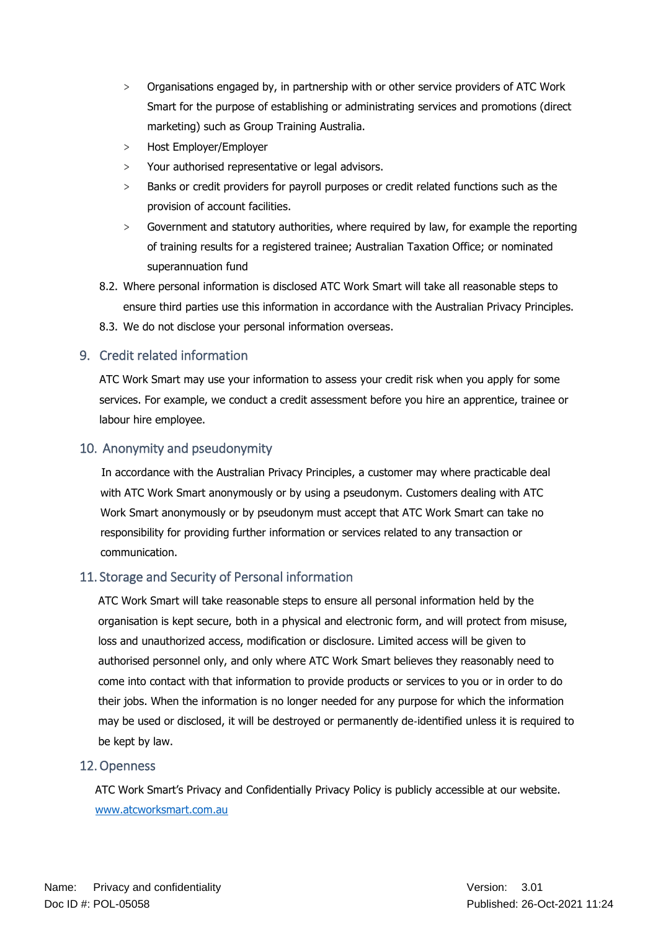- > Organisations engaged by, in partnership with or other service providers of ATC Work Smart for the purpose of establishing or administrating services and promotions (direct marketing) such as Group Training Australia.
- > Host Employer/Employer
- > Your authorised representative or legal advisors.
- Banks or credit providers for payroll purposes or credit related functions such as the provision of account facilities.
- > Government and statutory authorities, where required by law, for example the reporting of training results for a registered trainee; Australian Taxation Office; or nominated superannuation fund
- 8.2. Where personal information is disclosed ATC Work Smart will take all reasonable steps to ensure third parties use this information in accordance with the Australian Privacy Principles.
- 8.3. We do not disclose your personal information overseas.

## 9. Credit related information

ATC Work Smart may use your information to assess your credit risk when you apply for some services. For example, we conduct a credit assessment before you hire an apprentice, trainee or labour hire employee.

### 10. Anonymity and pseudonymity

In accordance with the Australian Privacy Principles, a customer may where practicable deal with ATC Work Smart anonymously or by using a pseudonym. Customers dealing with ATC Work Smart anonymously or by pseudonym must accept that ATC Work Smart can take no responsibility for providing further information or services related to any transaction or communication.

### 11. Storage and Security of Personal information

ATC Work Smart will take reasonable steps to ensure all personal information held by the organisation is kept secure, both in a physical and electronic form, and will protect from misuse, loss and unauthorized access, modification or disclosure. Limited access will be given to authorised personnel only, and only where ATC Work Smart believes they reasonably need to come into contact with that information to provide products or services to you or in order to do their jobs. When the information is no longer needed for any purpose for which the information may be used or disclosed, it will be destroyed or permanently de‐identified unless it is required to be kept by law.

### 12.Openness

ATC Work Smart's Privacy and Confidentially Privacy Policy is publicly accessible at our website. [www.atcworksmart.com.au](file:///C:/Users/peter/Downloads/www.atcworksmart.com.au)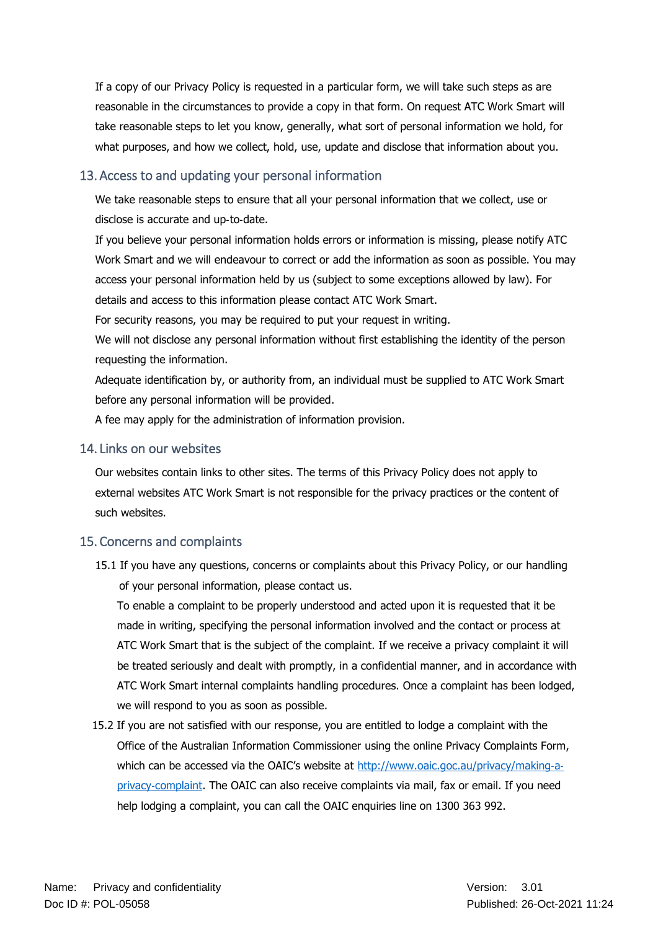If a copy of our Privacy Policy is requested in a particular form, we will take such steps as are reasonable in the circumstances to provide a copy in that form. On request ATC Work Smart will take reasonable steps to let you know, generally, what sort of personal information we hold, for what purposes, and how we collect, hold, use, update and disclose that information about you.

## 13. Access to and updating your personal information

We take reasonable steps to ensure that all your personal information that we collect, use or disclose is accurate and up‐to‐date.

If you believe your personal information holds errors or information is missing, please notify ATC Work Smart and we will endeavour to correct or add the information as soon as possible. You may access your personal information held by us (subject to some exceptions allowed by law). For details and access to this information please contact ATC Work Smart.

For security reasons, you may be required to put your request in writing.

We will not disclose any personal information without first establishing the identity of the person requesting the information.

Adequate identification by, or authority from, an individual must be supplied to ATC Work Smart before any personal information will be provided.

A fee may apply for the administration of information provision.

### 14. Links on our websites

Our websites contain links to other sites. The terms of this Privacy Policy does not apply to external websites ATC Work Smart is not responsible for the privacy practices or the content of such websites.

# 15. Concerns and complaints

15.1 If you have any questions, concerns or complaints about this Privacy Policy, or our handling of your personal information, please contact us.

To enable a complaint to be properly understood and acted upon it is requested that it be made in writing, specifying the personal information involved and the contact or process at ATC Work Smart that is the subject of the complaint. If we receive a privacy complaint it will be treated seriously and dealt with promptly, in a confidential manner, and in accordance with ATC Work Smart internal complaints handling procedures. Once a complaint has been lodged, we will respond to you as soon as possible.

15.2 If you are not satisfied with our response, you are entitled to lodge a complaint with the Office of the Australian Information Commissioner using the online Privacy Complaints Form, which can be accessed via the OAIC's website at [http://www.oaic.goc.au/privacy/making](http://www.oaic.goc.au/privacy/making‐a‐privacy‐complaint)-aprivacy-[complaint.](http://www.oaic.goc.au/privacy/making‐a‐privacy‐complaint) The OAIC can also receive complaints via mail, fax or email. If you need help lodging a complaint, you can call the OAIC enquiries line on 1300 363 992.